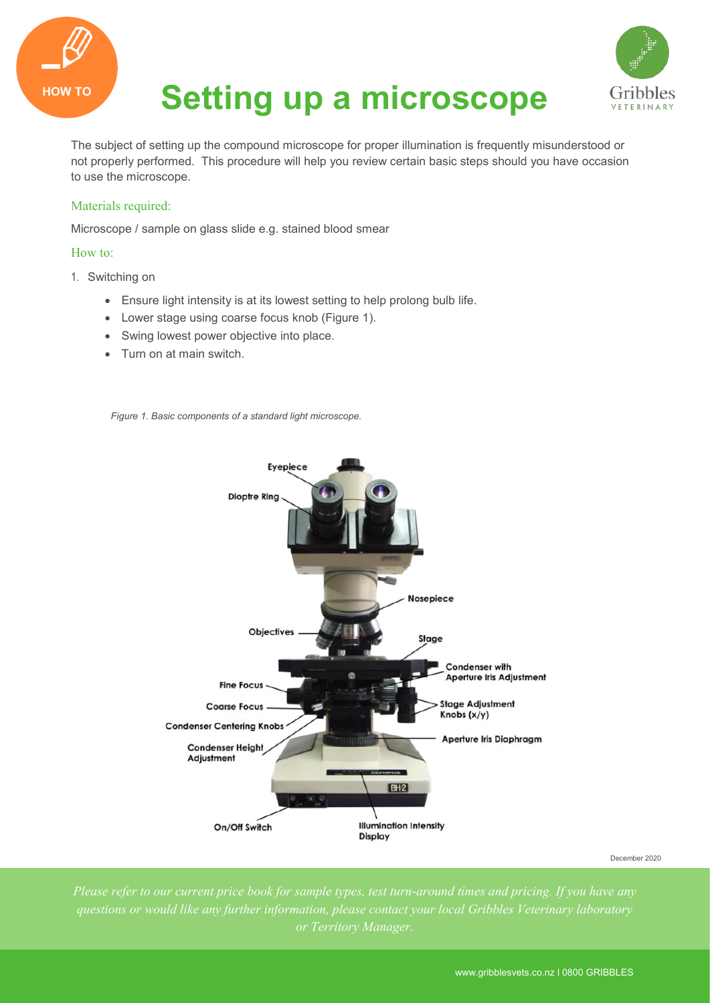

## **HOW TO Setting up a microscope**



The subject of setting up the compound microscope for proper illumination is frequently misunderstood or not properly performed. This procedure will help you review certain basic steps should you have occasion to use the microscope.

## Materials required:

Microscope / sample on glass slide e.g. stained blood smear

## How to:

- 1. Switching on
	- Ensure light intensity is at its lowest setting to help prolong bulb life.
	- Lower stage using coarse focus knob (Figure 1).
	- Swing lowest power objective into place.
	- Turn on at main switch.

*Figure 1. Basic components of a standard light microscope.*



December 2020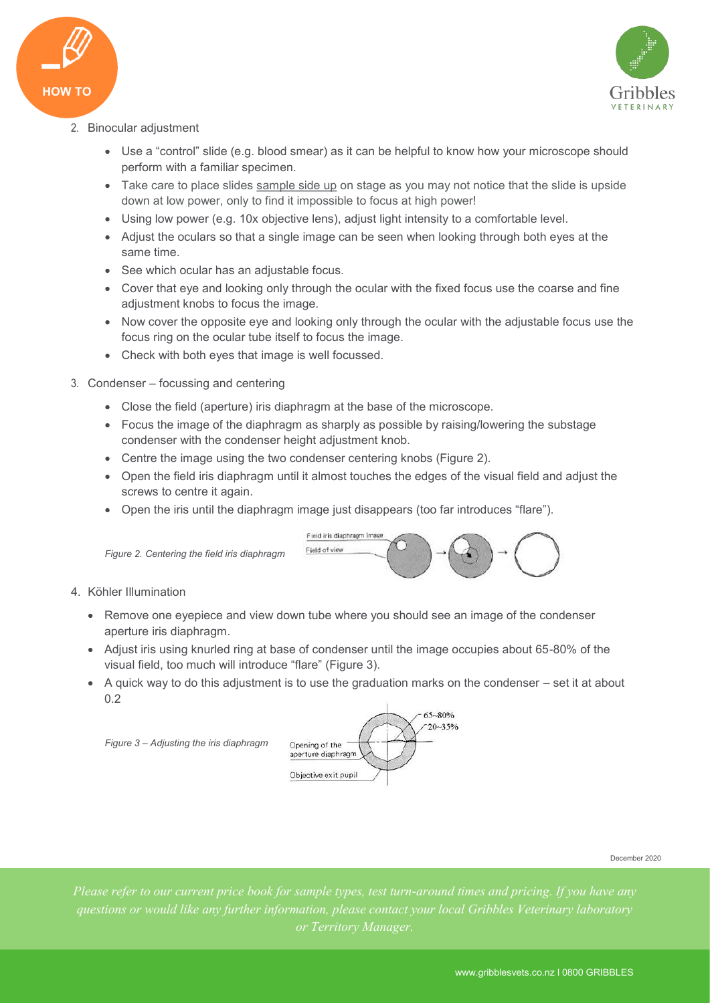



- 2. Binocular adjustment
	- Use a "control" slide (e.g. blood smear) as it can be helpful to know how your microscope should perform with a familiar specimen.
	- Take care to place slides sample side up on stage as you may not notice that the slide is upside down at low power, only to find it impossible to focus at high power!
	- Using low power (e.g. 10x objective lens), adjust light intensity to a comfortable level.
	- Adjust the oculars so that a single image can be seen when looking through both eyes at the same time.
	- See which ocular has an adjustable focus.
	- Cover that eye and looking only through the ocular with the fixed focus use the coarse and fine adjustment knobs to focus the image.
	- Now cover the opposite eye and looking only through the ocular with the adjustable focus use the focus ring on the ocular tube itself to focus the image.
	- Check with both eyes that image is well focussed.
- 3. Condenser focussing and centering
	- Close the field (aperture) iris diaphragm at the base of the microscope.
	- Focus the image of the diaphragm as sharply as possible by raising/lowering the substage condenser with the condenser height adjustment knob.
	- Centre the image using the two condenser centering knobs (Figure 2).
	- Open the field iris diaphragm until it almost touches the edges of the visual field and adjust the screws to centre it again.
	- Open the iris until the diaphragm image just disappears (too far introduces "flare").



*Figure 2. Centering the field iris diaphragm* 

- 4. Köhler Illumination
	- Remove one eyepiece and view down tube where you should see an image of the condenser aperture iris diaphragm.
	- Adjust iris using knurled ring at base of condenser until the image occupies about 65-80% of the visual field, too much will introduce "flare" (Figure 3).
	- $\bullet$  A quick way to do this adjustment is to use the graduation marks on the condenser set it at about 0.2

*Figure 3 – Adjusting the iris diaphragm* 



December 2020